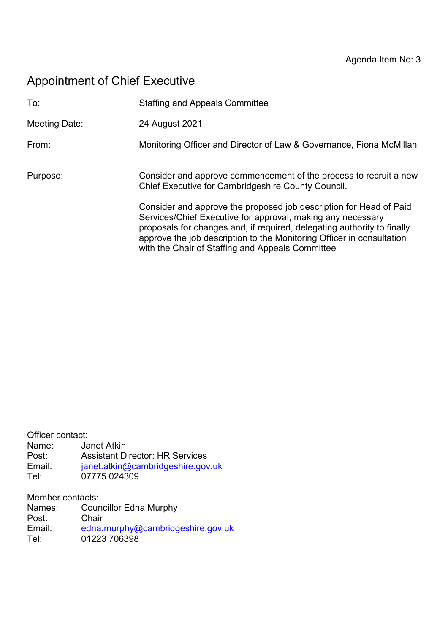# Appointment of Chief Executive

| To:           | <b>Staffing and Appeals Committee</b>                                                                                                                                                                                                                                                                                                     |
|---------------|-------------------------------------------------------------------------------------------------------------------------------------------------------------------------------------------------------------------------------------------------------------------------------------------------------------------------------------------|
| Meeting Date: | 24 August 2021                                                                                                                                                                                                                                                                                                                            |
| From:         | Monitoring Officer and Director of Law & Governance, Fiona McMillan                                                                                                                                                                                                                                                                       |
| Purpose:      | Consider and approve commencement of the process to recruit a new<br>Chief Executive for Cambridgeshire County Council.                                                                                                                                                                                                                   |
|               | Consider and approve the proposed job description for Head of Paid<br>Services/Chief Executive for approval, making any necessary<br>proposals for changes and, if required, delegating authority to finally<br>approve the job description to the Monitoring Officer in consultation<br>with the Chair of Staffing and Appeals Committee |

| Officer contact: |                                        |
|------------------|----------------------------------------|
| Name:            | Janet Atkin                            |
| Post:            | <b>Assistant Director: HR Services</b> |
| Email:           | janet.atkin@cambridgeshire.gov.uk      |
| Tel:             | 07775 024309                           |
|                  |                                        |

Member contacts:

| Names: | <b>Councillor Edna Murphy</b>     |
|--------|-----------------------------------|
| Post:  | Chair                             |
| Email: | edna.murphy@cambridgeshire.gov.uk |
| Tel:   | 01223 706398                      |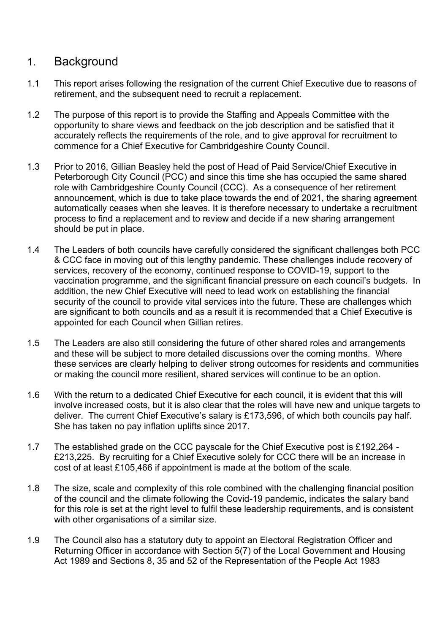## 1. Background

- 1.1 This report arises following the resignation of the current Chief Executive due to reasons of retirement, and the subsequent need to recruit a replacement.
- 1.2 The purpose of this report is to provide the Staffing and Appeals Committee with the opportunity to share views and feedback on the job description and be satisfied that it accurately reflects the requirements of the role, and to give approval for recruitment to commence for a Chief Executive for Cambridgeshire County Council.
- 1.3 Prior to 2016, Gillian Beasley held the post of Head of Paid Service/Chief Executive in Peterborough City Council (PCC) and since this time she has occupied the same shared role with Cambridgeshire County Council (CCC). As a consequence of her retirement announcement, which is due to take place towards the end of 2021, the sharing agreement automatically ceases when she leaves. It is therefore necessary to undertake a recruitment process to find a replacement and to review and decide if a new sharing arrangement should be put in place.
- 1.4 The Leaders of both councils have carefully considered the significant challenges both PCC & CCC face in moving out of this lengthy pandemic. These challenges include recovery of services, recovery of the economy, continued response to COVID-19, support to the vaccination programme, and the significant financial pressure on each council's budgets. In addition, the new Chief Executive will need to lead work on establishing the financial security of the council to provide vital services into the future. These are challenges which are significant to both councils and as a result it is recommended that a Chief Executive is appointed for each Council when Gillian retires.
- 1.5 The Leaders are also still considering the future of other shared roles and arrangements and these will be subject to more detailed discussions over the coming months. Where these services are clearly helping to deliver strong outcomes for residents and communities or making the council more resilient, shared services will continue to be an option.
- 1.6 With the return to a dedicated Chief Executive for each council, it is evident that this will involve increased costs, but it is also clear that the roles will have new and unique targets to deliver. The current Chief Executive's salary is £173,596, of which both councils pay half. She has taken no pay inflation uplifts since 2017.
- 1.7 The established grade on the CCC payscale for the Chief Executive post is £192,264 £213,225. By recruiting for a Chief Executive solely for CCC there will be an increase in cost of at least £105,466 if appointment is made at the bottom of the scale.
- 1.8 The size, scale and complexity of this role combined with the challenging financial position of the council and the climate following the Covid-19 pandemic, indicates the salary band for this role is set at the right level to fulfil these leadership requirements, and is consistent with other organisations of a similar size.
- 1.9 The Council also has a statutory duty to appoint an Electoral Registration Officer and Returning Officer in accordance with Section 5(7) of the Local Government and Housing Act 1989 and Sections 8, 35 and 52 of the Representation of the People Act 1983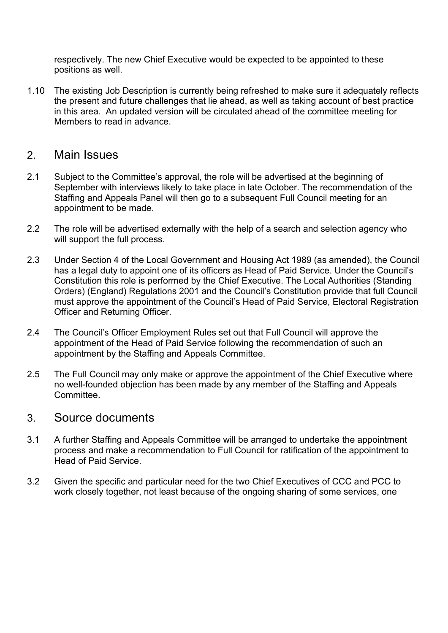respectively. The new Chief Executive would be expected to be appointed to these positions as well.

1.10 The existing Job Description is currently being refreshed to make sure it adequately reflects the present and future challenges that lie ahead, as well as taking account of best practice in this area. An updated version will be circulated ahead of the committee meeting for Members to read in advance.

#### 2. Main Issues

- 2.1 Subject to the Committee's approval, the role will be advertised at the beginning of September with interviews likely to take place in late October. The recommendation of the Staffing and Appeals Panel will then go to a subsequent Full Council meeting for an appointment to be made.
- 2.2 The role will be advertised externally with the help of a search and selection agency who will support the full process.
- 2.3 Under Section 4 of the Local Government and Housing Act 1989 (as amended), the Council has a legal duty to appoint one of its officers as Head of Paid Service. Under the Council's Constitution this role is performed by the Chief Executive. The Local Authorities (Standing Orders) (England) Regulations 2001 and the Council's Constitution provide that full Council must approve the appointment of the Council's Head of Paid Service, Electoral Registration Officer and Returning Officer.
- 2.4 The Council's Officer Employment Rules set out that Full Council will approve the appointment of the Head of Paid Service following the recommendation of such an appointment by the Staffing and Appeals Committee.
- 2.5 The Full Council may only make or approve the appointment of the Chief Executive where no well-founded objection has been made by any member of the Staffing and Appeals **Committee**

#### 3. Source documents

- 3.1 A further Staffing and Appeals Committee will be arranged to undertake the appointment process and make a recommendation to Full Council for ratification of the appointment to Head of Paid Service.
- 3.2 Given the specific and particular need for the two Chief Executives of CCC and PCC to work closely together, not least because of the ongoing sharing of some services, one